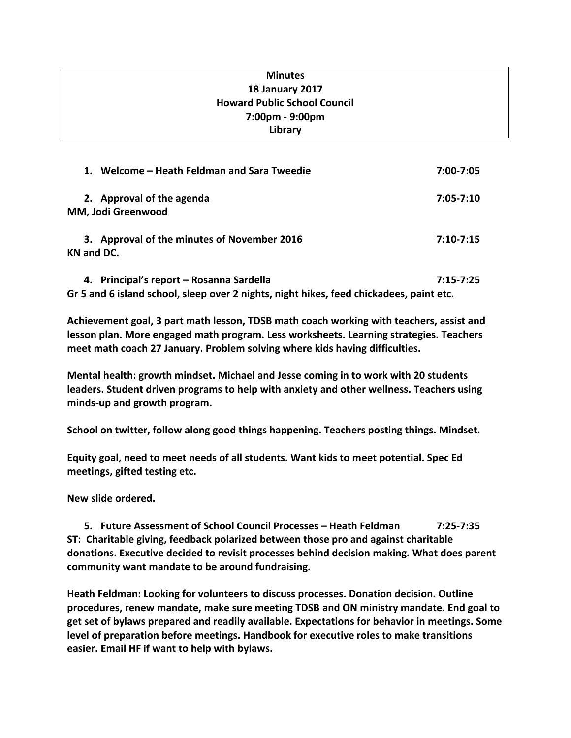# **Minutes 18 January 2017 Howard Public School Council 7:00pm - 9:00pm Library**

| 1. Welcome – Heath Feldman and Sara Tweedie                      | 7:00-7:05     |
|------------------------------------------------------------------|---------------|
| 2. Approval of the agenda<br>MM, Jodi Greenwood                  | 7:05-7:10     |
| 3. Approval of the minutes of November 2016<br><b>KN and DC.</b> | $7:10 - 7:15$ |
| 4. Principal's report - Rosanna Sardella                         | 7:15-7:25     |

**Gr 5 and 6 island school, sleep over 2 nights, night hikes, feed chickadees, paint etc.** 

**Achievement goal, 3 part math lesson, TDSB math coach working with teachers, assist and lesson plan. More engaged math program. Less worksheets. Learning strategies. Teachers meet math coach 27 January. Problem solving where kids having difficulties.** 

**Mental health: growth mindset. Michael and Jesse coming in to work with 20 students leaders. Student driven programs to help with anxiety and other wellness. Teachers using minds-up and growth program.** 

**School on twitter, follow along good things happening. Teachers posting things. Mindset.**

**Equity goal, need to meet needs of all students. Want kids to meet potential. Spec Ed meetings, gifted testing etc.** 

**New slide ordered.**

**5. Future Assessment of School Council Processes – Heath Feldman 7:25-7:35 ST: Charitable giving, feedback polarized between those pro and against charitable donations. Executive decided to revisit processes behind decision making. What does parent community want mandate to be around fundraising.** 

**Heath Feldman: Looking for volunteers to discuss processes. Donation decision. Outline procedures, renew mandate, make sure meeting TDSB and ON ministry mandate. End goal to get set of bylaws prepared and readily available. Expectations for behavior in meetings. Some level of preparation before meetings. Handbook for executive roles to make transitions easier. Email HF if want to help with bylaws.**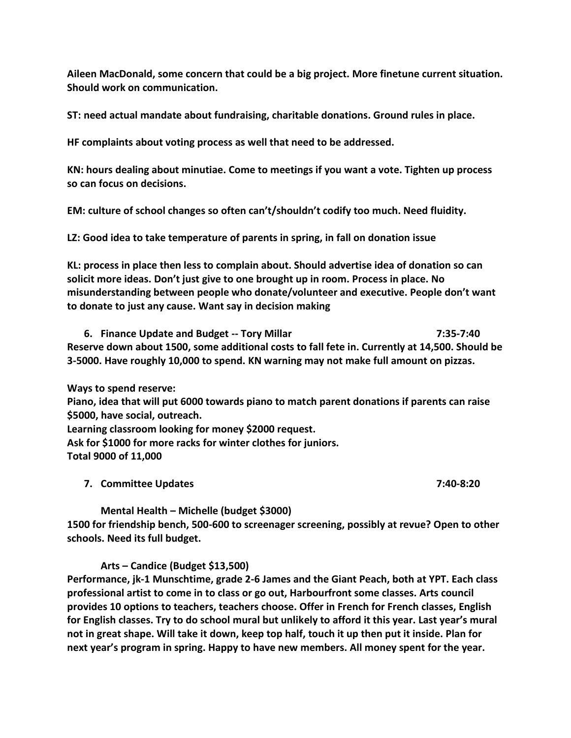**Aileen MacDonald, some concern that could be a big project. More finetune current situation. Should work on communication.** 

**ST: need actual mandate about fundraising, charitable donations. Ground rules in place.** 

**HF complaints about voting process as well that need to be addressed.**

**KN: hours dealing about minutiae. Come to meetings if you want a vote. Tighten up process so can focus on decisions.** 

**EM: culture of school changes so often can't/shouldn't codify too much. Need fluidity.** 

**LZ: Good idea to take temperature of parents in spring, in fall on donation issue**

**KL: process in place then less to complain about. Should advertise idea of donation so can solicit more ideas. Don't just give to one brought up in room. Process in place. No misunderstanding between people who donate/volunteer and executive. People don't want to donate to just any cause. Want say in decision making**

**6. Finance Update and Budget -- Tory Millar 7:35-7:40 Reserve down about 1500, some additional costs to fall fete in. Currently at 14,500. Should be 3-5000. Have roughly 10,000 to spend. KN warning may not make full amount on pizzas.** 

**Ways to spend reserve:**

**Piano, idea that will put 6000 towards piano to match parent donations if parents can raise \$5000, have social, outreach.**

**Learning classroom looking for money \$2000 request.**

**Ask for \$1000 for more racks for winter clothes for juniors. Total 9000 of 11,000**

**7. Committee Updates 7:40-8:20**

**Mental Health – Michelle (budget \$3000) 1500 for friendship bench, 500-600 to screenager screening, possibly at revue? Open to other schools. Need its full budget.**

### **Arts – Candice (Budget \$13,500)**

**Performance, jk-1 Munschtime, grade 2-6 James and the Giant Peach, both at YPT. Each class professional artist to come in to class or go out, Harbourfront some classes. Arts council provides 10 options to teachers, teachers choose. Offer in French for French classes, English for English classes. Try to do school mural but unlikely to afford it this year. Last year's mural not in great shape. Will take it down, keep top half, touch it up then put it inside. Plan for next year's program in spring. Happy to have new members. All money spent for the year.**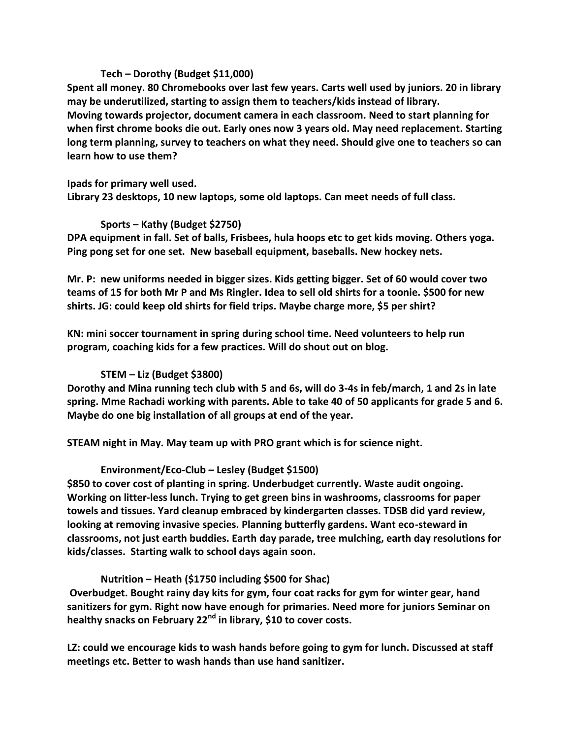#### **Tech – Dorothy (Budget \$11,000)**

**Spent all money. 80 Chromebooks over last few years. Carts well used by juniors. 20 in library may be underutilized, starting to assign them to teachers/kids instead of library. Moving towards projector, document camera in each classroom. Need to start planning for when first chrome books die out. Early ones now 3 years old. May need replacement. Starting long term planning, survey to teachers on what they need. Should give one to teachers so can learn how to use them?** 

**Ipads for primary well used.**

**Library 23 desktops, 10 new laptops, some old laptops. Can meet needs of full class.** 

### **Sports – Kathy (Budget \$2750)**

**DPA equipment in fall. Set of balls, Frisbees, hula hoops etc to get kids moving. Others yoga. Ping pong set for one set. New baseball equipment, baseballs. New hockey nets.**

**Mr. P: new uniforms needed in bigger sizes. Kids getting bigger. Set of 60 would cover two teams of 15 for both Mr P and Ms Ringler. Idea to sell old shirts for a toonie. \$500 for new shirts. JG: could keep old shirts for field trips. Maybe charge more, \$5 per shirt?**

**KN: mini soccer tournament in spring during school time. Need volunteers to help run program, coaching kids for a few practices. Will do shout out on blog.**

# **STEM – Liz (Budget \$3800)**

**Dorothy and Mina running tech club with 5 and 6s, will do 3-4s in feb/march, 1 and 2s in late spring. Mme Rachadi working with parents. Able to take 40 of 50 applicants for grade 5 and 6. Maybe do one big installation of all groups at end of the year.** 

**STEAM night in May. May team up with PRO grant which is for science night.** 

### **Environment/Eco-Club – Lesley (Budget \$1500)**

**\$850 to cover cost of planting in spring. Underbudget currently. Waste audit ongoing. Working on litter-less lunch. Trying to get green bins in washrooms, classrooms for paper towels and tissues. Yard cleanup embraced by kindergarten classes. TDSB did yard review, looking at removing invasive species. Planning butterfly gardens. Want eco-steward in classrooms, not just earth buddies. Earth day parade, tree mulching, earth day resolutions for kids/classes. Starting walk to school days again soon.** 

**Nutrition – Heath (\$1750 including \$500 for Shac)**

**Overbudget. Bought rainy day kits for gym, four coat racks for gym for winter gear, hand sanitizers for gym. Right now have enough for primaries. Need more for juniors Seminar on healthy snacks on February 22nd in library, \$10 to cover costs.** 

**LZ: could we encourage kids to wash hands before going to gym for lunch. Discussed at staff meetings etc. Better to wash hands than use hand sanitizer.**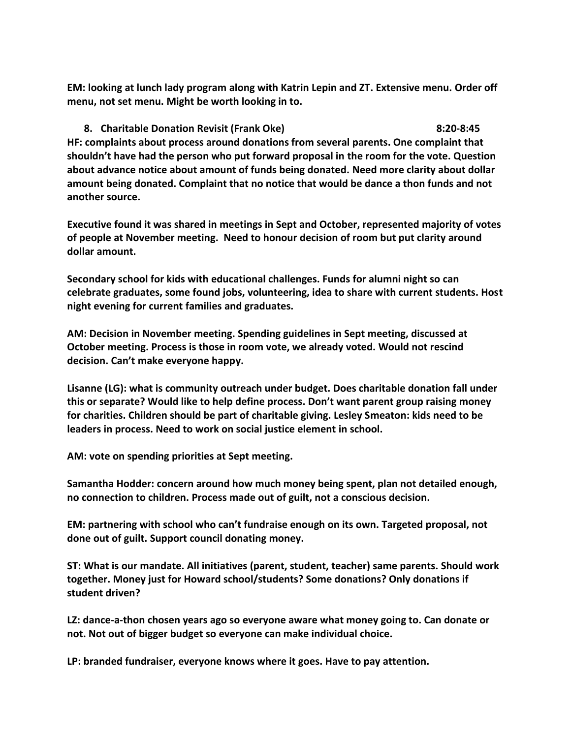**EM: looking at lunch lady program along with Katrin Lepin and ZT. Extensive menu. Order off menu, not set menu. Might be worth looking in to.**

**8. Charitable Donation Revisit (Frank Oke) 8:20-8:45 HF: complaints about process around donations from several parents. One complaint that shouldn't have had the person who put forward proposal in the room for the vote. Question about advance notice about amount of funds being donated. Need more clarity about dollar amount being donated. Complaint that no notice that would be dance a thon funds and not another source.** 

**Executive found it was shared in meetings in Sept and October, represented majority of votes of people at November meeting. Need to honour decision of room but put clarity around dollar amount.** 

**Secondary school for kids with educational challenges. Funds for alumni night so can celebrate graduates, some found jobs, volunteering, idea to share with current students. Host night evening for current families and graduates.** 

**AM: Decision in November meeting. Spending guidelines in Sept meeting, discussed at October meeting. Process is those in room vote, we already voted. Would not rescind decision. Can't make everyone happy.** 

**Lisanne (LG): what is community outreach under budget. Does charitable donation fall under this or separate? Would like to help define process. Don't want parent group raising money for charities. Children should be part of charitable giving. Lesley Smeaton: kids need to be leaders in process. Need to work on social justice element in school.**

**AM: vote on spending priorities at Sept meeting.** 

**Samantha Hodder: concern around how much money being spent, plan not detailed enough, no connection to children. Process made out of guilt, not a conscious decision.** 

**EM: partnering with school who can't fundraise enough on its own. Targeted proposal, not done out of guilt. Support council donating money.** 

**ST: What is our mandate. All initiatives (parent, student, teacher) same parents. Should work together. Money just for Howard school/students? Some donations? Only donations if student driven?** 

**LZ: dance-a-thon chosen years ago so everyone aware what money going to. Can donate or not. Not out of bigger budget so everyone can make individual choice.**

**LP: branded fundraiser, everyone knows where it goes. Have to pay attention.**